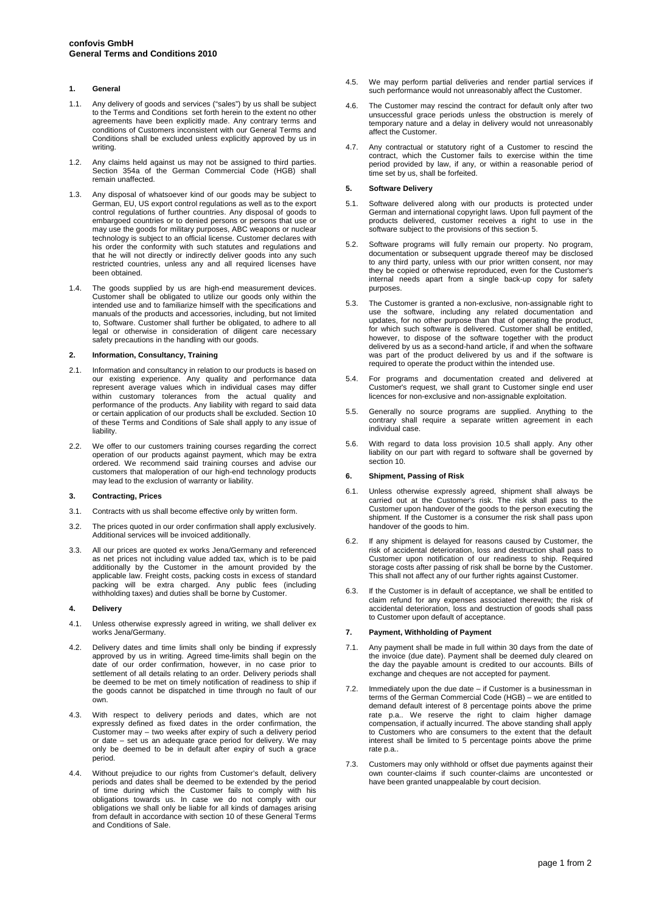# **1. General**

- 1.1. Any delivery of goods and services ("sales") by us shall be subject to the Terms and Conditions set forth herein to the extent no other agreements have been explicitly made. Any contrary terms and conditions of Customers inconsistent with our General Terms and Conditions shall be excluded unless explicitly approved by us in writing.
- 1.2. Any claims held against us may not be assigned to third parties. Section 354a of the German Commercial Code (HGB) shall remain unaffected.
- 1.3. Any disposal of whatsoever kind of our goods may be subject to German, EU, US export control regulations as well as to the export control regulations of further countries. Any disposal of goods to embargoed countries or to denied persons or persons that use or may use the goods for military purposes, ABC weapons or nuclear technology is subject to an official license. Customer declares with his order the conformity with such statutes and regulations and that he will not directly or indirectly deliver goods into any such restricted countries, unless any and all required licenses have been obtained.
- 1.4. The goods supplied by us are high-end measurement devices. Customer shall be obligated to utilize our goods only within the intended use and to familiarize himself with the specifications and manuals of the products and accessories, including, but not limited to, Software. Customer shall further be obligated, to adhere to all legal or otherwise in consideration of diligent care necessary safety precautions in the handling with our goods.

## **2. Information, Consultancy, Training**

- 2.1. Information and consultancy in relation to our products is based on our existing experience. Any quality and performance data represent average values which in individual cases may differ within customary tolerances from the actual quality and performance of the products. Any liability with regard to said data or certain application of our products shall be excluded. Section 10 of these Terms and Conditions of Sale shall apply to any issue of liability.
- 2.2. We offer to our customers training courses regarding the correct operation of our products against payment, which may be extra ordered. We recommend said training courses and advise our customers that maloperation of our high-end technology products may lead to the exclusion of warranty or liability.

## **3. Contracting, Prices**

- 3.1. Contracts with us shall become effective only by written form.
- 3.2. The prices quoted in our order confirmation shall apply exclusively. Additional services will be invoiced additionally.
- 3.3. All our prices are quoted ex works Jena/Germany and referenced as net prices not including value added tax, which is to be paid additionally by the Customer in the amount provided by the applicable law. Freight costs, packing costs in excess of standard packing will be extra charged. Any public fees (including withholding taxes) and duties shall be borne by Customer.

### **4. Delivery**

- 4.1. Unless otherwise expressly agreed in writing, we shall deliver ex works Jena/Germany.
- 4.2. Delivery dates and time limits shall only be binding if expressly approved by us in writing. Agreed time-limits shall begin on the date of our order confirmation, however, in no case prior to settlement of all details relating to an order. Delivery periods shall be deemed to be met on timely notification of readiness to ship if the goods cannot be dispatched in time through no fault of our own.
- 4.3. With respect to delivery periods and dates, which are not expressly defined as fixed dates in the order confirmation, the Customer may – two weeks after expiry of such a delivery period or date – set us an adequate grace period for delivery. We may only be deemed to be in default after expiry of such a grace period.
- 4.4. Without prejudice to our rights from Customer's default, delivery periods and dates shall be deemed to be extended by the period of time during which the Customer fails to comply with his obligations towards us. In case we do not comply with our obligations we shall only be liable for all kinds of damages arising from default in accordance with section 10 of these General Terms and Conditions of Sale.
- 4.5. We may perform partial deliveries and render partial services if such performance would not unreasonably affect the Customer.
- 4.6. The Customer may rescind the contract for default only after two unsuccessful grace periods unless the obstruction is merely of temporary nature and a delay in delivery would not unreasonably affect the Customer.
- 4.7. Any contractual or statutory right of a Customer to rescind the contract, which the Customer fails to exercise within the time period provided by law, if any, or within a reasonable period of time set by us, shall be forfeited.

### **5. Software Delivery**

- 5.1. Software delivered along with our products is protected under German and international copyright laws. Upon full payment of the products delivered, customer receives a right to use in the software subject to the provisions of this section 5.
- 5.2. Software programs will fully remain our property. No program, documentation or subsequent upgrade thereof may be disclosed to any third party, unless with our prior written consent, nor may they be copied or otherwise reproduced, even for the Customer's internal needs apart from a single back-up copy for safety purposes.
- 5.3. The Customer is granted a non-exclusive, non-assignable right to use the software, including any related documentation and updates, for no other purpose than that of operating the product, for which such software is delivered. Customer shall be entitled however, to dispose of the software together with the product delivered by us as a second-hand article, if and when the software was part of the product delivered by us and if the software is required to operate the product within the intended use.
- 5.4. For programs and documentation created and delivered at Customer's request, we shall grant to Customer single end user licences for non-exclusive and non-assignable exploitation.
- 5.5. Generally no source programs are supplied. Anything to the contrary shall require a separate written agreement in each individual case.
- 5.6. With regard to data loss provision 10.5 shall apply. Any other liability on our part with regard to software shall be governed by section 10.

### **6. Shipment, Passing of Risk**

- 6.1. Unless otherwise expressly agreed, shipment shall always be carried out at the Customer's risk. The risk shall pass to the Customer upon handover of the goods to the person executing the shipment. If the Customer is a consumer the risk shall pass upon handover of the goods to him.
- 6.2. If any shipment is delayed for reasons caused by Customer, the risk of accidental deterioration, loss and destruction shall pass to Customer upon notification of our readiness to ship. Required storage costs after passing of risk shall be borne by the Customer. This shall not affect any of our further rights against Customer.
- 6.3. If the Customer is in default of acceptance, we shall be entitled to claim refund for any expenses associated therewith; the risk of accidental deterioration, loss and destruction of goods shall pass to Customer upon default of acceptance.

### **7. Payment, Withholding of Payment**

- 7.1. Any payment shall be made in full within 30 days from the date of the invoice (due date). Payment shall be deemed duly cleared on the day the payable amount is credited to our accounts. Bills of exchange and cheques are not accepted for payment.
- 7.2. Immediately upon the due date if Customer is a businessman in terms of the German Commercial Code (HGB) – we are entitled to demand default interest of 8 percentage points above the prime rate p.a.. We reserve the right to claim higher damage compensation, if actually incurred. The above standing shall apply to Customers who are consumers to the extent that the default interest shall be limited to 5 percentage points above the prime rate p.a..
- 7.3. Customers may only withhold or offset due payments against their own counter-claims if such counter-claims are uncontested or have been granted unappealable by court decision.